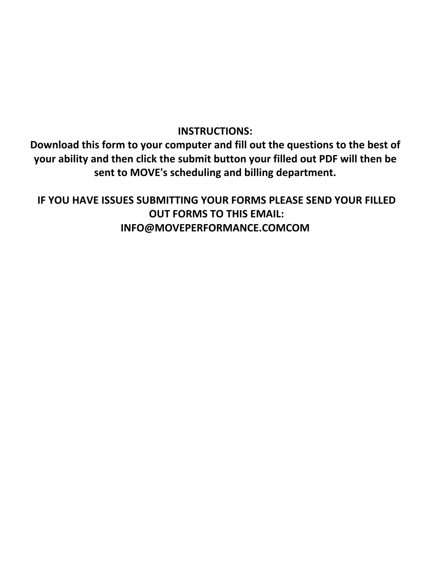## **INSTRUCTIONS:**

**Download this form to your computer and fill out the questions to the best of your ability and then click the submit button your filled out PDF will then be sent to MOVE's scheduling and billing department.**

**IF YOU HAVE ISSUES SUBMITTING YOUR FORMS PLEASE SEND YOUR FILLED OUT FORMS TO THIS EMAIL: INFO@MOVEPERFORMANCE.COMCOM**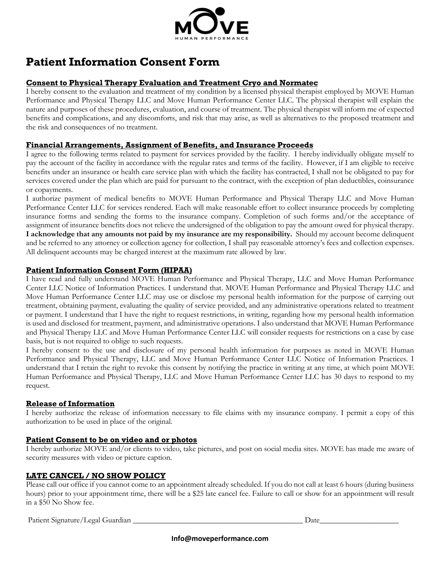

## **Patient Information Consent Form**

## **Consent to Physical Therapy Evaluation and Treatment Cryo and Normatec**

I hereby consent to the evaluation and treatment of my condition by a licensed physical therapist employed by MOVE Human Performance and Physical Therapy LLC and Move Human Performance Center LLC. The physical therapist will explain the nature and purposes of these procedures, evaluation, and course of treatment. The physical therapist will inform me of expected benefits and complications, and any discomforts, and risk that may arise, as well as alternatives to the proposed treatment and the risk and consequences of no treatment.

## **Financial Arrangements, Assignment of Benefits, and Insurance Proceeds**

I agree to the following terms related to payment for services provided by the facility. I hereby individually obligate myself to pay the account of the facility in accordance with the regular rates and terms of the facility. However, if I am eligible to receive benefits under an insurance or health care service plan with which the facility has contracted, I shall not be obligated to pay for services covered under the plan which are paid for pursuant to the contract, with the exception of plan deductibles, coinsurance or copayments.

I authorize payment of medical benefits to MOVE Human Performance and Physical Therapy LLC and Move Human Performance Center LLC for services rendered. Each will make reasonable effort to collect insurance proceeds by completing insurance forms and sending the forms to the insurance company. Completion of such forms and/or the acceptance of assignment of insurance benefits does not relieve the undersigned of the obligation to pay the amount owed for physical therapy. **I acknowledge that any amounts not paid by my insurance are my responsibility.** Should my account become delinquent and be referred to any attorney or collection agency for collection, I shall pay reasonable attorney's fees and collection expenses. All delinquent accounts may be charged interest at the maximum rate allowed by law.

## **Patient Information Consent Form (HIPAA)**

I have read and fully understand MOVE Human Performance and Physical Therapy, LLC and Move Human Performance Center LLC Notice of Information Practices. I understand that. MOVE Human Performance and Physical Therapy LLC and Move Human Performance Center LLC may use or disclose my personal health information for the purpose of carrying out treatment, obtaining payment, evaluating the quality of service provided, and any administrative operations related to treatment or payment. I understand that I have the right to request restrictions, in writing, regarding how my personal health information is used and disclosed for treatment, payment, and administrative operations. I also understand that MOVE Human Performance and Physical Therapy LLC and Move Human Performance Center LLC will consider requests for restrictions on a case by case basis, but is not required to oblige to such requests.

I hereby consent to the use and disclosure of my personal health information for purposes as noted in MOVE Human Performance and Physical Therapy, LLC and Move Human Performance Center LLC Notice of Information Practices. I understand that I retain the right to revoke this consent by notifying the practice in writing at any time, at which point MOVE Human Performance and Physical Therapy, LLC and Move Human Performance Center LLC has 30 days to respond to my request.

### **Release of Information**

I hereby authorize the release of information necessary to file claims with my insurance company. I permit a copy of this authorization to be used in place of the original.

### **Patient Consent to be on video and or photos**

I hereby authorize MOVE and/or clients to video, take pictures, and post on social media sites. MOVE has made me aware of security measures with video or picture caption.

## **LATE CANCEL / NO SHOW POLICY**

Please call our office if you cannot come to an appointment already scheduled. If you do not call at least 6 hours (during business hours) prior to your appointment time, there will be a \$25 late cancel fee. Failure to call or show for an appointment will result in a \$50 No Show fee.

Patient Signature/Legal Guardian \_\_\_\_\_\_\_\_\_\_\_\_\_\_\_\_\_\_\_\_\_\_\_\_\_\_\_\_\_\_\_\_\_\_\_\_\_\_\_\_\_\_\_ Date\_\_\_\_\_\_\_\_\_\_\_\_\_\_\_\_\_\_\_\_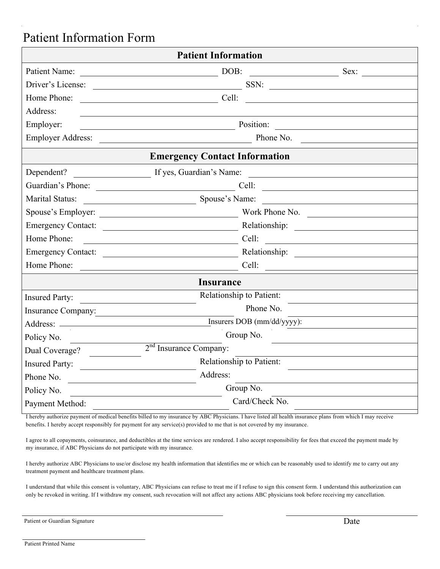# Patient Information Form

| <b>Patient Information</b> |                                                                             |  |  |
|----------------------------|-----------------------------------------------------------------------------|--|--|
| Patient Name:              | $\overline{\phantom{a}}$ DOB:<br>Sex:                                       |  |  |
|                            | Driver's License:<br>SSN:                                                   |  |  |
| Home Phone:                |                                                                             |  |  |
| Address:                   |                                                                             |  |  |
| Employer:                  | Position: Position:                                                         |  |  |
| <b>Employer Address:</b>   | Phone No.                                                                   |  |  |
|                            | <b>Emergency Contact Information</b>                                        |  |  |
| Dependent?                 | If yes, Guardian's Name:                                                    |  |  |
|                            |                                                                             |  |  |
| Marital Status:            | Spouse's Name:                                                              |  |  |
|                            |                                                                             |  |  |
|                            |                                                                             |  |  |
| Home Phone:                | Cell:<br><u> 1989 - Andrea Station Barbara, amerikan per</u>                |  |  |
|                            | Emergency Contact:                                                          |  |  |
| Home Phone:                |                                                                             |  |  |
|                            | <b>Insurance</b>                                                            |  |  |
| <b>Insured Party:</b>      | Relationship to Patient:<br><u> 1989 - John Stein, Amerikaansk kanton (</u> |  |  |
| Insurance Company:         | Phone No.                                                                   |  |  |
|                            | Insurers DOB (mm/dd/yyyy):                                                  |  |  |
| Policy No.                 | Group No.                                                                   |  |  |
| Dual Coverage?             | 2 <sup>nd</sup> Insurance Company:                                          |  |  |
| Insured Party:             | Relationship to Patient:                                                    |  |  |
| Phone No. $\qquad \qquad$  | Address:                                                                    |  |  |
| Policy No.                 | Group No.                                                                   |  |  |
| Payment Method:            | Card/Check No.                                                              |  |  |

I hereby authorize payment of medical benefits billed to my insurance by ABC Physicians. I have listed all health insurance plans from which I may receive benefits. I hereby accept responsibly for payment for any service(s) provided to me that is not covered by my insurance.

I agree to all copayments, coinsurance, and deductibles at the time services are rendered. I also accept responsibility for fees that exceed the payment made by my insurance, if ABC Physicians do not participate with my insurance.

I hereby authorize ABC Physicians to use/or disclose my health information that identifies me or which can be reasonably used to identify me to carry out any treatment payment and healthcare treatment plans.

I understand that while this consent is voluntary, ABC Physicians can refuse to treat me if I refuse to sign this consent form. I understand this authorization can only be revoked in writing. If I withdraw my consent, such revocation will not affect any actions ABC physicians took before receiving my cancellation.

| Patient or Guardian Signature | Date |
|-------------------------------|------|
|-------------------------------|------|

Patient Printed Name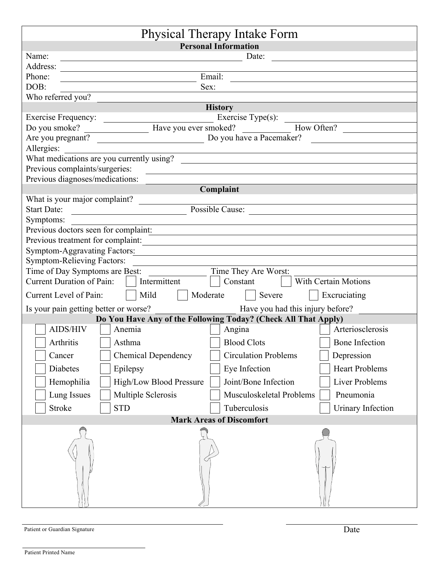| Physical Therapy Intake Form                                                          |                                                                                         |  |  |  |
|---------------------------------------------------------------------------------------|-----------------------------------------------------------------------------------------|--|--|--|
|                                                                                       | <b>Personal Information</b>                                                             |  |  |  |
| Name:                                                                                 | Date:                                                                                   |  |  |  |
| Address:                                                                              |                                                                                         |  |  |  |
| Phone:                                                                                | Email:                                                                                  |  |  |  |
| DOB:                                                                                  | Sex:                                                                                    |  |  |  |
| Who referred you?                                                                     |                                                                                         |  |  |  |
|                                                                                       | <b>History</b>                                                                          |  |  |  |
|                                                                                       |                                                                                         |  |  |  |
|                                                                                       | Exercise Frequency: Exercise Type(s):<br>Do you smoke? Have you ever smoked? How Often? |  |  |  |
|                                                                                       |                                                                                         |  |  |  |
| Allergies:                                                                            |                                                                                         |  |  |  |
| What medications are you currently using?                                             |                                                                                         |  |  |  |
| Previous complaints/surgeries:                                                        |                                                                                         |  |  |  |
| Previous diagnoses/medications:                                                       | Complaint                                                                               |  |  |  |
|                                                                                       |                                                                                         |  |  |  |
| What is your major complaint?                                                         |                                                                                         |  |  |  |
| <b>Start Date:</b><br>Possible Cause:                                                 |                                                                                         |  |  |  |
| Symptoms:                                                                             |                                                                                         |  |  |  |
| Previous doctors seen for complaint:                                                  | <u> 1989 - Johann Stein, mars an de Francisco Communication (f. 1989)</u>               |  |  |  |
| Previous treatment for complaint:                                                     |                                                                                         |  |  |  |
| Symptom-Aggravating Factors: Manual Communication of the Symptom Aggravating Factors: |                                                                                         |  |  |  |
| <b>Symptom-Relieving Factors:</b>                                                     |                                                                                         |  |  |  |
|                                                                                       |                                                                                         |  |  |  |
| Current Duration of Pain:     Intermittent                                            | Constant Vith Certain Motions                                                           |  |  |  |
| Mild<br>Current Level of Pain:                                                        | Moderate     Severe    <br>Excruciating                                                 |  |  |  |
| Is your pain getting better or worse?                                                 | Have you had this injury before?                                                        |  |  |  |
|                                                                                       | Do You Have Any of the Following Today? (Check All That Apply)                          |  |  |  |
| AIDS/HIV<br>Anemia                                                                    | Arteriosclerosis<br>Angina                                                              |  |  |  |
| Arthritis<br>Asthma                                                                   | <b>Blood Clots</b><br><b>Bone Infection</b>                                             |  |  |  |
| <b>Chemical Dependency</b><br>Cancer                                                  | <b>Circulation Problems</b><br>Depression                                               |  |  |  |
| Diabetes<br>Epilepsy                                                                  | <b>Heart Problems</b><br>Eye Infection                                                  |  |  |  |
| Hemophilia<br>High/Low Blood Pressure                                                 | Joint/Bone Infection<br>Liver Problems                                                  |  |  |  |
| Lung Issues<br><b>Multiple Sclerosis</b>                                              | Musculoskeletal Problems<br>Pneumonia                                                   |  |  |  |
| <b>Stroke</b><br><b>STD</b>                                                           | Tuberculosis<br>Urinary Infection                                                       |  |  |  |
| <b>Mark Areas of Discomfort</b>                                                       |                                                                                         |  |  |  |
|                                                                                       |                                                                                         |  |  |  |
|                                                                                       |                                                                                         |  |  |  |
|                                                                                       |                                                                                         |  |  |  |
|                                                                                       |                                                                                         |  |  |  |

| Patient or Guardian Signature | Date |
|-------------------------------|------|
|-------------------------------|------|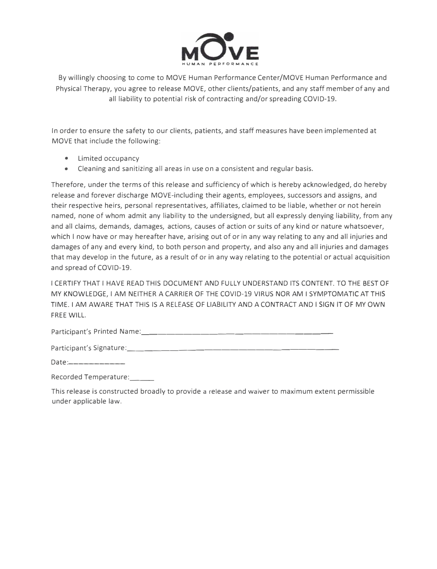

By willingly choosing to come to MOVE Human Performance Center/MOVE Human Performance and Physical Therapy, you agree to release MOVE, other clients/patients, and any staff member of any and all liability to potential risk of contracting and/or spreading COVID-19.

In order to ensure the safety to our clients, patients, and staff measures have been implemented at MOVE that include the following:

- Limited occupancy
- Cleaning and sanitizing all areas in use on a consistent and regular basis.

Therefore, under the terms of this release and sufficiency of which is hereby acknowledged, do hereby release and forever discharge MOVE-including their agents, employees, successors and assigns, and their respective heirs, personal representatives, affiliates, claimed to be liable, whether or not herein named, none of whom admit any liability to the undersigned, but all expressly denying liability, from any and all claims, demands, damages, actions, causes of action or suits of any kind or nature whatsoever, which I now have or may hereafter have, arising out of or in any way relating to any and all injuries and damages of any and every kind, to both person and property, and also any and all injuries and damages that may develop in the future, as a result of or in any way relating to the potential or actual acquisition and spread of COVID-19.

I CERTIFY THAT I HAVE READ THIS DOCUMENT AND FULLY UNDERSTAND ITS CONTENT. TO THE BEST OF MY KNOWLEDGE, I AM NEITHER A CARRIER OF THE COVID-19 VIRUS NOR AM I SYMPTOMATIC AT THIS TIME. I AM AWARE THAT THIS IS A RELEASE OF LIABILITY AND A CONTRACT AND I SIGN IT OF MY OWN FREE WILL.

Participant's Printed Name: \_\_\_\_\_\_\_\_\_\_\_\_\_\_\_\_\_\_\_\_\_\_ \_

Participant's Signature: \_\_\_\_\_\_\_\_\_\_\_\_\_\_\_\_\_\_\_\_\_\_\_\_ \_

Date:\_\_\_\_\_\_\_\_\_\_\_\_\_\_\_

Recorded Temperature: \_\_ \_

This release is constructed broadly to provide a release and waiver to maximum extent permissible under applicable law.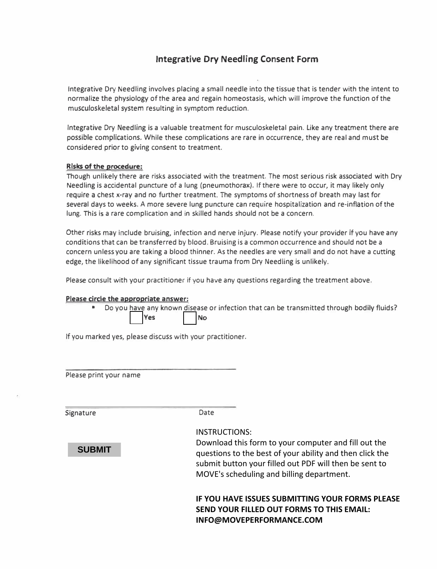## **Integrative Dry Needling Consent Form**

Integrative Dry Needling involves placing a small needle into the tissue that is tender with the intent to normalize the physiology of the area and regain homeostasis, which will improve the function of the musculoskeletal system resulting in symptom reduction.

Integrative Dry Needling is a valuable treatment for musculoskeletal pain. Like any treatment there are possible complications. While these complications are rare in occurrence, they are real and must be considered prior to giving consent to treatment.

#### **Risks of the procedure:**

Though unlikely there are risks associated with the treatment. The most serious risk associated with Dry Needling is accidental puncture of a lung (pneumothorax). If there were to occur, it may likely only require a chest x-ray and no further treatment. The symptoms of shortness of breath may last for several days to weeks. A more severe lung puncture can require hospitalization and re-inflation of the lung. This is a rare complication and in skilled hands should not be a concern.

Other risks may include bruising, infection and nerve injury. Please notify your provider if you have any conditions that can be transferred by blood. Bruising is a common occurrence and should not be a concern unless you are taking a blood thinner. As the needles are very small and do not have a cutting edge, the likelihood of any significant tissue trauma from Dry Needling is unlikely.

Please consult with your practitioner if you have any questions regarding the treatment above.

#### **Please circle the appropriate answer:**

• Do you have any known disease or infection that can be transmitted through bodily fluids? Yes | No

If you marked yes, please discuss with your practitioner.

Please print your name

Signature Date

**SUBMIT**

#### INSTRUCTIONS:

Download this form to your computer and fill out the questions to the best of your ability and then click the submit button your filled out PDF will then be sent to MOVE's scheduling and billing department.

## **IF YOU HAVE ISSUES SUBMITTING YOUR FORMS PLEASE SEND YOUR FILLED OUT FORMS TO THIS EMAIL: INFO@MOVEPERFORMANCE.COM**